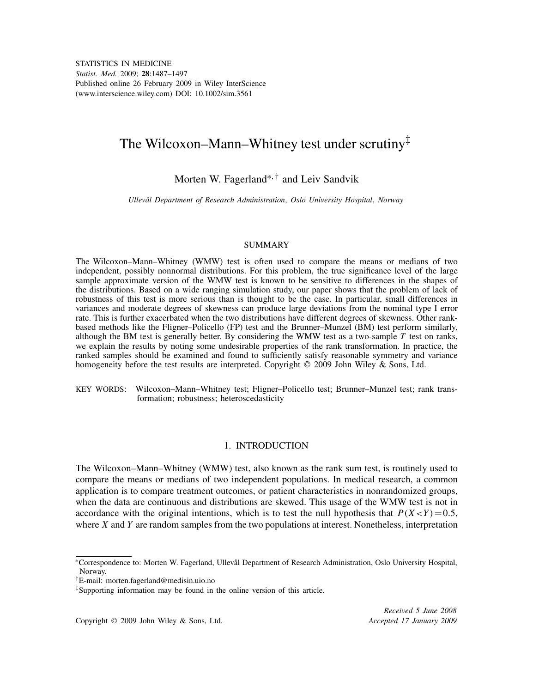STATISTICS IN MEDICINE *Statist. Med.* 2009; **28**:1487–1497 Published online 26 February 2009 in Wiley InterScience (www.interscience.wiley.com) DOI: 10.1002/sim.3561

# The Wilcoxon–Mann–Whitney test under scrutiny*‡*

## Morten W. Fagerland∗*,†* and Leiv Sandvik

*Ulleval Department of Research Administration ˚ , Oslo University Hospital, Norway*

#### **SUMMARY**

The Wilcoxon–Mann–Whitney (WMW) test is often used to compare the means or medians of two independent, possibly nonnormal distributions. For this problem, the true significance level of the large sample approximate version of the WMW test is known to be sensitive to differences in the shapes of the distributions. Based on a wide ranging simulation study, our paper shows that the problem of lack of robustness of this test is more serious than is thought to be the case. In particular, small differences in variances and moderate degrees of skewness can produce large deviations from the nominal type I error rate. This is further exacerbated when the two distributions have different degrees of skewness. Other rankbased methods like the Fligner–Policello (FP) test and the Brunner–Munzel (BM) test perform similarly, although the BM test is generally better. By considering the WMW test as a two-sample  $T$  test on ranks, we explain the results by noting some undesirable properties of the rank transformation. In practice, the ranked samples should be examined and found to sufficiently satisfy reasonable symmetry and variance homogeneity before the test results are interpreted. Copyright  $\odot$  2009 John Wiley & Sons, Ltd.

KEY WORDS: Wilcoxon–Mann–Whitney test; Fligner–Policello test; Brunner–Munzel test; rank transformation; robustness; heteroscedasticity

## 1. INTRODUCTION

The Wilcoxon–Mann–Whitney (WMW) test, also known as the rank sum test, is routinely used to compare the means or medians of two independent populations. In medical research, a common application is to compare treatment outcomes, or patient characteristics in nonrandomized groups, when the data are continuous and distributions are skewed. This usage of the WMW test is not in accordance with the original intentions, which is to test the null hypothesis that  $P(X \le Y) = 0.5$ , where *X* and *Y* are random samples from the two populations at interest. Nonetheless, interpretation

Copyright q 2009 John Wiley & Sons, Ltd. *Accepted 17 January 2009*

*Received 5 June 2008*

<sup>∗</sup>Correspondence to: Morten W. Fagerland, Ulleval Department of Research Administration, Oslo University Hospital, ˚ Norway.

*<sup>†</sup>*E-mail: morten.fagerland@medisin.uio.no

*<sup>‡</sup>*Supporting information may be found in the online version of this article.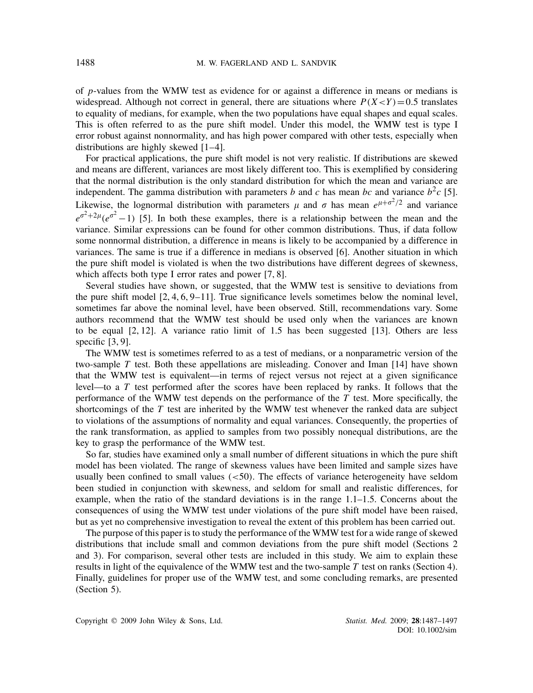of *p*-values from the WMW test as evidence for or against a difference in means or medians is widespread. Although not correct in general, there are situations where  $P(X < Y) = 0.5$  translates to equality of medians, for example, when the two populations have equal shapes and equal scales. This is often referred to as the pure shift model. Under this model, the WMW test is type I error robust against nonnormality, and has high power compared with other tests, especially when distributions are highly skewed [1–4].

For practical applications, the pure shift model is not very realistic. If distributions are skewed and means are different, variances are most likely different too. This is exemplified by considering that the normal distribution is the only standard distribution for which the mean and variance are independent. The gamma distribution with parameters *b* and *c* has mean *bc* and variance  $b^2c$  [5]. Likewise, the lognormal distribution with parameters  $\mu$  and  $\sigma$  has mean  $e^{\mu + \sigma^2/2}$  and variance  $e^{\sigma^2 + 2\mu} (e^{\sigma^2} - 1)$  [5]. In both these examples, there is a relationship between the mean and the variance. Similar expressions can be found for other common distributions. Thus, if data follow some nonnormal distribution, a difference in means is likely to be accompanied by a difference in variances. The same is true if a difference in medians is observed [6]. Another situation in which the pure shift model is violated is when the two distributions have different degrees of skewness, which affects both type I error rates and power [7, 8].

Several studies have shown, or suggested, that the WMW test is sensitive to deviations from the pure shift model  $[2, 4, 6, 9-11]$ . True significance levels sometimes below the nominal level, sometimes far above the nominal level, have been observed. Still, recommendations vary. Some authors recommend that the WMW test should be used only when the variances are known to be equal [2, 12]. A variance ratio limit of 1.5 has been suggested [13]. Others are less specific [3, 9].

The WMW test is sometimes referred to as a test of medians, or a nonparametric version of the two-sample *T* test. Both these appellations are misleading. Conover and Iman [14] have shown that the WMW test is equivalent—in terms of reject versus not reject at a given significance level—to a *T* test performed after the scores have been replaced by ranks. It follows that the performance of the WMW test depends on the performance of the *T* test. More specifically, the shortcomings of the *T* test are inherited by the WMW test whenever the ranked data are subject to violations of the assumptions of normality and equal variances. Consequently, the properties of the rank transformation, as applied to samples from two possibly nonequal distributions, are the key to grasp the performance of the WMW test.

So far, studies have examined only a small number of different situations in which the pure shift model has been violated. The range of skewness values have been limited and sample sizes have usually been confined to small values *(<*50*)*. The effects of variance heterogeneity have seldom been studied in conjunction with skewness, and seldom for small and realistic differences, for example, when the ratio of the standard deviations is in the range 1.1–1.5. Concerns about the consequences of using the WMW test under violations of the pure shift model have been raised, but as yet no comprehensive investigation to reveal the extent of this problem has been carried out.

The purpose of this paper is to study the performance of the WMW test for a wide range of skewed distributions that include small and common deviations from the pure shift model (Sections 2 and 3). For comparison, several other tests are included in this study. We aim to explain these results in light of the equivalence of the WMW test and the two-sample *T* test on ranks (Section 4). Finally, guidelines for proper use of the WMW test, and some concluding remarks, are presented (Section 5).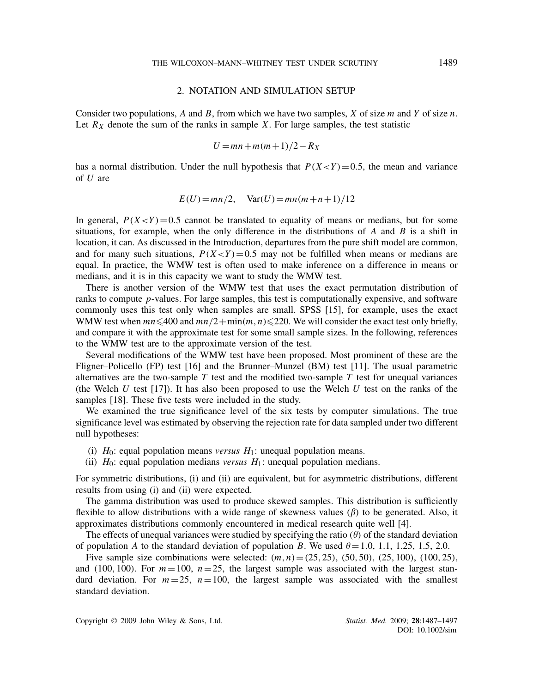#### 2. NOTATION AND SIMULATION SETUP

Consider two populations, *A* and *B*, from which we have two samples, *X* of size *m* and *Y* of size *n*. Let  $R_X$  denote the sum of the ranks in sample *X*. For large samples, the test statistic

$$
U = mn + m(m+1)/2 - R_X
$$

has a normal distribution. Under the null hypothesis that  $P(X \le Y) = 0.5$ , the mean and variance of *U* are

$$
E(U) = mn/2
$$
,  $Var(U) = mn(m+n+1)/12$ 

In general,  $P(X \le Y) = 0.5$  cannot be translated to equality of means or medians, but for some situations, for example, when the only difference in the distributions of *A* and *B* is a shift in location, it can. As discussed in the Introduction, departures from the pure shift model are common, and for many such situations,  $P(X \le Y) = 0.5$  may not be fulfilled when means or medians are equal. In practice, the WMW test is often used to make inference on a difference in means or medians, and it is in this capacity we want to study the WMW test.

There is another version of the WMW test that uses the exact permutation distribution of ranks to compute *p*-values. For large samples, this test is computationally expensive, and software commonly uses this test only when samples are small. SPSS [15], for example, uses the exact WMW test when  $mn \leq 400$  and  $mn/2 + \min(m, n) \leq 220$ . We will consider the exact test only briefly, and compare it with the approximate test for some small sample sizes. In the following, references to the WMW test are to the approximate version of the test.

Several modifications of the WMW test have been proposed. Most prominent of these are the Fligner–Policello (FP) test [16] and the Brunner–Munzel (BM) test [11]. The usual parametric alternatives are the two-sample *T* test and the modified two-sample *T* test for unequal variances (the Welch *U* test [17]). It has also been proposed to use the Welch *U* test on the ranks of the samples [18]. These five tests were included in the study.

We examined the true significance level of the six tests by computer simulations. The true significance level was estimated by observing the rejection rate for data sampled under two different null hypotheses:

- (i)  $H_0$ : equal population means *versus*  $H_1$ : unequal population means.
- (ii)  $H_0$ : equal population medians *versus*  $H_1$ : unequal population medians.

For symmetric distributions, (i) and (ii) are equivalent, but for asymmetric distributions, different results from using (i) and (ii) were expected.

The gamma distribution was used to produce skewed samples. This distribution is sufficiently flexible to allow distributions with a wide range of skewness values  $(\beta)$  to be generated. Also, it approximates distributions commonly encountered in medical research quite well [4].

The effects of unequal variances were studied by specifying the ratio  $(\theta)$  of the standard deviation of population *A* to the standard deviation of population *B*. We used  $\theta = 1.0, 1.1, 1.25, 1.5, 2.0$ .

Five sample size combinations were selected: *(m,n)*=*(*25*,*25*)*, *(*50*,*50*)*, *(*25*,*100*)*, *(*100*,*25*)*, and (100, 100). For  $m = 100$ ,  $n = 25$ , the largest sample was associated with the largest standard deviation. For  $m = 25$ ,  $n = 100$ , the largest sample was associated with the smallest standard deviation.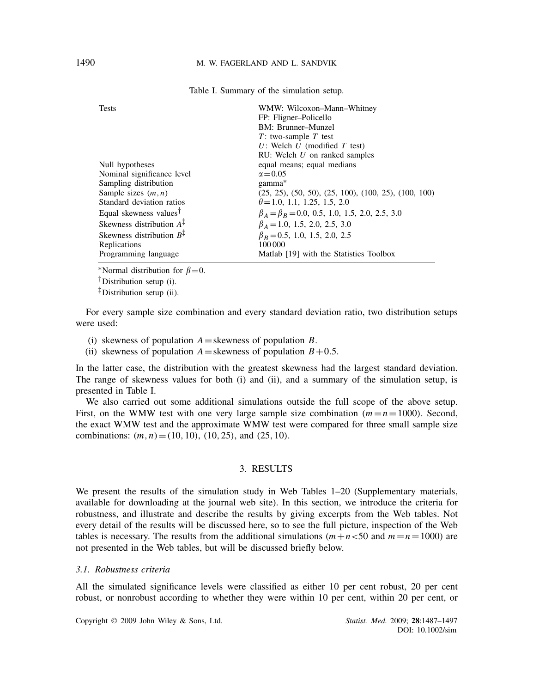Table I. Summary of the simulation setup.

| <b>Tests</b>                         | WMW: Wilcoxon-Mann-Whitney<br>FP: Fligner-Policello<br>BM: Brunner-Munzel<br>$T:$ two-sample T test<br>$U$ : Welch $U$ (modified $T$ test) |
|--------------------------------------|--------------------------------------------------------------------------------------------------------------------------------------------|
|                                      | RU: Welch $U$ on ranked samples                                                                                                            |
| Null hypotheses                      | equal means; equal medians                                                                                                                 |
| Nominal significance level           | $\alpha$ = 0.05                                                                                                                            |
| Sampling distribution                | gamma <sup>*</sup>                                                                                                                         |
| Sample sizes $(m, n)$                | $(25, 25), (50, 50), (25, 100), (100, 25), (100, 100)$                                                                                     |
| Standard deviation ratios            | $\theta = 1.0, 1.1, 1.25, 1.5, 2.0$                                                                                                        |
| Equal skewness values <sup>†</sup>   | $\beta_A = \beta_B = 0.0, 0.5, 1.0, 1.5, 2.0, 2.5, 3.0$                                                                                    |
| Skewness distribution $A^{\ddagger}$ | $\beta_A = 1.0, 1.5, 2.0, 2.5, 3.0$                                                                                                        |
| Skewness distribution $B^{\ddagger}$ | $\beta_R = 0.5, 1.0, 1.5, 2.0, 2.5$                                                                                                        |
| Replications                         | 100 000                                                                                                                                    |
| Programming language                 | Matlab [19] with the Statistics Toolbox                                                                                                    |

<sup>\*</sup>Normal distribution for  $β=0$ .

*†*Distribution setup (i).

*‡*Distribution setup (ii).

For every sample size combination and every standard deviation ratio, two distribution setups were used:

- (i) skewness of population  $A =$ skewness of population  $B$ .
- (ii) skewness of population  $A =$ skewness of population  $B + 0.5$ .

In the latter case, the distribution with the greatest skewness had the largest standard deviation. The range of skewness values for both (i) and (ii), and a summary of the simulation setup, is presented in Table I.

We also carried out some additional simulations outside the full scope of the above setup. First, on the WMW test with one very large sample size combination  $(m = n = 1000)$ . Second, the exact WMW test and the approximate WMW test were compared for three small sample size combinations: *(m,n)*=*(*10*,*10*)*, *(*10*,*25*)*, and *(*25*,*10*)*.

#### 3. RESULTS

We present the results of the simulation study in Web Tables 1–20 (Supplementary materials, available for downloading at the journal web site). In this section, we introduce the criteria for robustness, and illustrate and describe the results by giving excerpts from the Web tables. Not every detail of the results will be discussed here, so to see the full picture, inspection of the Web tables is necessary. The results from the additional simulations  $(m+n<50$  and  $m=n=1000)$  are not presented in the Web tables, but will be discussed briefly below.

#### *3.1. Robustness criteria*

All the simulated significance levels were classified as either 10 per cent robust, 20 per cent robust, or nonrobust according to whether they were within 10 per cent, within 20 per cent, or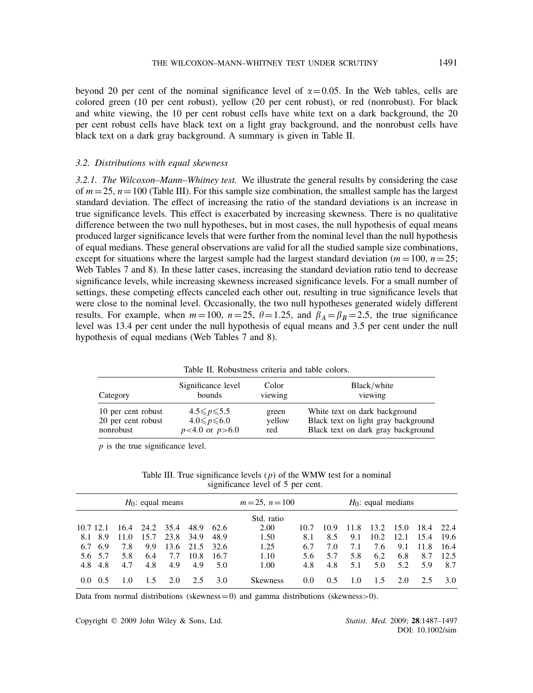beyond 20 per cent of the nominal significance level of  $\alpha = 0.05$ . In the Web tables, cells are colored green (10 per cent robust), yellow (20 per cent robust), or red (nonrobust). For black and white viewing, the 10 per cent robust cells have white text on a dark background, the 20 per cent robust cells have black text on a light gray background, and the nonrobust cells have black text on a dark gray background. A summary is given in Table II.

### *3.2. Distributions with equal skewness*

*3.2.1. The Wilcoxon–Mann–Whitney test.* We illustrate the general results by considering the case of  $m = 25$ ,  $n = 100$  (Table III). For this sample size combination, the smallest sample has the largest standard deviation. The effect of increasing the ratio of the standard deviations is an increase in true significance levels. This effect is exacerbated by increasing skewness. There is no qualitative difference between the two null hypotheses, but in most cases, the null hypothesis of equal means produced larger significance levels that were further from the nominal level than the null hypothesis of equal medians. These general observations are valid for all the studied sample size combinations, except for situations where the largest sample had the largest standard deviation ( $m = 100$ ,  $n = 25$ ; Web Tables 7 and 8). In these latter cases, increasing the standard deviation ratio tend to decrease significance levels, while increasing skewness increased significance levels. For a small number of settings, these competing effects canceled each other out, resulting in true significance levels that were close to the nominal level. Occasionally, the two null hypotheses generated widely different results. For example, when  $m = 100$ ,  $n = 25$ ,  $\theta = 1.25$ , and  $\beta_A = \beta_B = 2.5$ , the true significance level was 13.4 per cent under the null hypothesis of equal means and 3.5 per cent under the null hypothesis of equal medians (Web Tables 7 and 8).

|  | Table II. Robustness criteria and table colors. |  |  |  |
|--|-------------------------------------------------|--|--|--|
|  |                                                 |  |  |  |

| Category           | Significance level  | Color   | Black/white                         |
|--------------------|---------------------|---------|-------------------------------------|
|                    | bounds              | viewing | viewing                             |
| 10 per cent robust | $4.5 \le p \le 5.5$ | green   | White text on dark background       |
| 20 per cent robust | $4.0 \le p \le 6.0$ | yellow  | Black text on light gray background |
| nonrobust          | $p<4.0$ or $p>6.0$  | red     | Black text on dark gray background  |

*p* is the true significance level.

Table III. True significance levels  $(p)$  of the WMW test for a nominal significance level of 5 per cent.

| $H_0$ : equal means |         |      |                | $H_0$ : equal medians<br>$m = 25$ , $n = 100$ |      |      |                 |      |      |      |      |      |      |       |
|---------------------|---------|------|----------------|-----------------------------------------------|------|------|-----------------|------|------|------|------|------|------|-------|
|                     |         |      |                |                                               |      |      | Std. ratio      |      |      |      |      |      |      |       |
| 10.7 12.1           |         |      | 16.4 24.2 35.4 |                                               | 48.9 | 62.6 | 2.00            | 10.7 | 10.9 | 11.8 | 13.2 | 15.0 | 18.4 | 22.4  |
| 8.1                 | 8.9     | 11.0 | 15.7           | 23.8                                          | 34.9 | 48.9 | 1.50            | 8.1  | 8.5  | 9.1  | 10.2 | 12.1 | 15.4 | -19.6 |
| 6.7                 | 6.9     | 7.8  | 9.9            | 13.6                                          | 21.5 | 32.6 | 1.25            | 6.7  | 7.0  | 7.1  | 7.6  | 9.1  | 11.8 | 16.4  |
|                     | 5.6 5.7 | 5.8  | 6.4            | 7.7                                           | 10.8 | 16.7 | 1.10            | 5.6  | 5.7  | 5.8  | 6.2  | 6.8  | 8.7  | 12.5  |
| 4.8 4.8             |         | 4.7  | 4.8            | 4.9                                           | 4.9  | 5.0  | 1.00            | 4.8  | 4.8  | 5.1  | 5.0  | 5.2  | 5.9  | 8.7   |
| 0.0                 |         | 10   | 15             | 2.0                                           | 2.5  | 3.0  | <b>Skewness</b> | 0.0  | 0.5  | 10   | 15   | 2.0  | 25   | 3.0   |

Data from normal distributions *(*skewness=0*)* and gamma distributions *(*skewness*>*0*)*.

Copyright q 2009 John Wiley & Sons, Ltd. *Statist. Med.* 2009; **28**:1487–1497

DOI: 10.1002/sim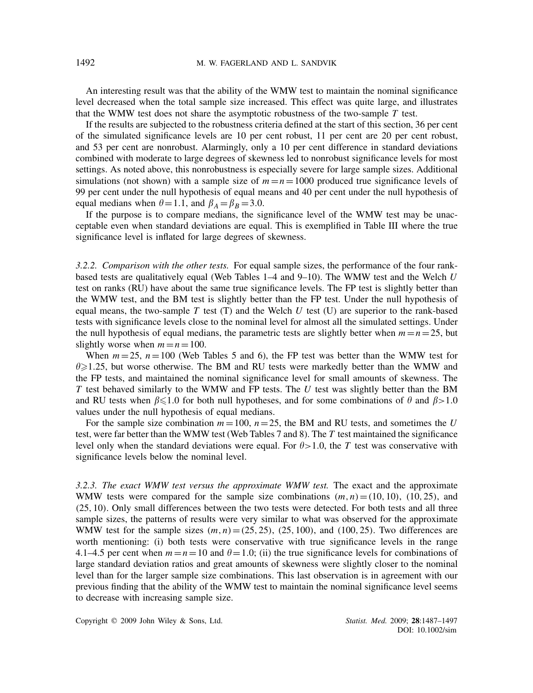An interesting result was that the ability of the WMW test to maintain the nominal significance level decreased when the total sample size increased. This effect was quite large, and illustrates that the WMW test does not share the asymptotic robustness of the two-sample *T* test.

If the results are subjected to the robustness criteria defined at the start of this section, 36 per cent of the simulated significance levels are 10 per cent robust, 11 per cent are 20 per cent robust, and 53 per cent are nonrobust. Alarmingly, only a 10 per cent difference in standard deviations combined with moderate to large degrees of skewness led to nonrobust significance levels for most settings. As noted above, this nonrobustness is especially severe for large sample sizes. Additional simulations (not shown) with a sample size of  $m = n = 1000$  produced true significance levels of 99 per cent under the null hypothesis of equal means and 40 per cent under the null hypothesis of equal medians when  $\theta = 1.1$ , and  $\beta_A = \beta_B = 3.0$ .

If the purpose is to compare medians, the significance level of the WMW test may be unacceptable even when standard deviations are equal. This is exemplified in Table III where the true significance level is inflated for large degrees of skewness.

*3.2.2. Comparison with the other tests.* For equal sample sizes, the performance of the four rankbased tests are qualitatively equal (Web Tables 1–4 and 9–10). The WMW test and the Welch *U* test on ranks (RU) have about the same true significance levels. The FP test is slightly better than the WMW test, and the BM test is slightly better than the FP test. Under the null hypothesis of equal means, the two-sample  $T$  test  $(T)$  and the Welch  $U$  test  $(U)$  are superior to the rank-based tests with significance levels close to the nominal level for almost all the simulated settings. Under the null hypothesis of equal medians, the parametric tests are slightly better when  $m = n = 25$ , but slightly worse when  $m = n = 100$ .

When  $m = 25$ ,  $n = 100$  (Web Tables 5 and 6), the FP test was better than the WMW test for  $\theta \geq 1.25$ , but worse otherwise. The BM and RU tests were markedly better than the WMW and the FP tests, and maintained the nominal significance level for small amounts of skewness. The *T* test behaved similarly to the WMW and FP tests. The *U* test was slightly better than the BM and RU tests when  $\beta \leq 1.0$  for both null hypotheses, and for some combinations of  $\theta$  and  $\beta > 1.0$ values under the null hypothesis of equal medians.

For the sample size combination  $m = 100$ ,  $n = 25$ , the BM and RU tests, and sometimes the *U* test, were far better than the WMW test (Web Tables 7 and 8). The *T* test maintained the significance level only when the standard deviations were equal. For  $\theta > 1.0$ , the *T* test was conservative with significance levels below the nominal level.

*3.2.3. The exact WMW test versus the approximate WMW test.* The exact and the approximate WMW tests were compared for the sample size combinations  $(m, n) = (10, 10)$ ,  $(10, 25)$ , and *(*25*,*10*)*. Only small differences between the two tests were detected. For both tests and all three sample sizes, the patterns of results were very similar to what was observed for the approximate WMW test for the sample sizes  $(m, n) = (25, 25)$ ,  $(25, 100)$ , and  $(100, 25)$ . Two differences are worth mentioning: (i) both tests were conservative with true significance levels in the range 4.1–4.5 per cent when  $m = n = 10$  and  $\theta = 1.0$ ; (ii) the true significance levels for combinations of large standard deviation ratios and great amounts of skewness were slightly closer to the nominal level than for the larger sample size combinations. This last observation is in agreement with our previous finding that the ability of the WMW test to maintain the nominal significance level seems to decrease with increasing sample size.

Copyright q 2009 John Wiley & Sons, Ltd. *Statist. Med.* 2009; **28**:1487–1497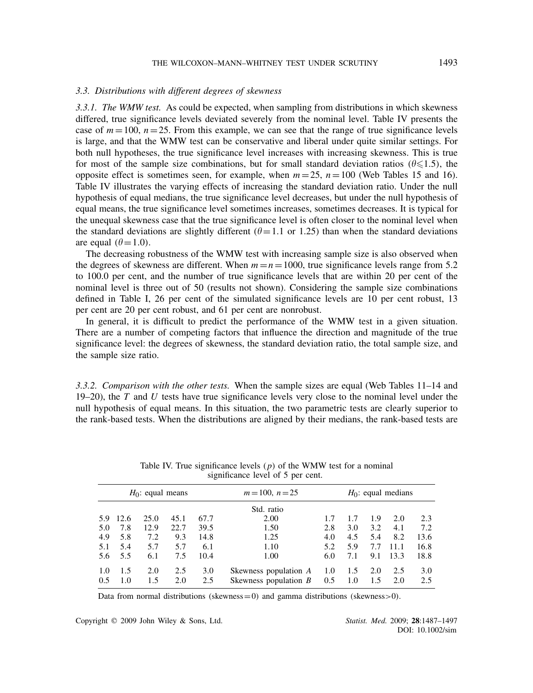## *3.3. Distributions with different degrees of skewness*

*3.3.1. The WMW test.* As could be expected, when sampling from distributions in which skewness differed, true significance levels deviated severely from the nominal level. Table IV presents the case of  $m = 100$ ,  $n = 25$ . From this example, we can see that the range of true significance levels is large, and that the WMW test can be conservative and liberal under quite similar settings. For both null hypotheses, the true significance level increases with increasing skewness. This is true for most of the sample size combinations, but for small standard deviation ratios  $(\theta \leq 1.5)$ , the opposite effect is sometimes seen, for example, when  $m = 25$ ,  $n = 100$  (Web Tables 15 and 16). Table IV illustrates the varying effects of increasing the standard deviation ratio. Under the null hypothesis of equal medians, the true significance level decreases, but under the null hypothesis of equal means, the true significance level sometimes increases, sometimes decreases. It is typical for the unequal skewness case that the true significance level is often closer to the nominal level when the standard deviations are slightly different  $(\theta = 1.1 \text{ or } 1.25)$  than when the standard deviations are equal  $(\theta=1.0)$ .

The decreasing robustness of the WMW test with increasing sample size is also observed when the degrees of skewness are different. When  $m = n = 1000$ , true significance levels range from 5.2 to 100.0 per cent, and the number of true significance levels that are within 20 per cent of the nominal level is three out of 50 (results not shown). Considering the sample size combinations defined in Table I, 26 per cent of the simulated significance levels are 10 per cent robust, 13 per cent are 20 per cent robust, and 61 per cent are nonrobust.

In general, it is difficult to predict the performance of the WMW test in a given situation. There are a number of competing factors that influence the direction and magnitude of the true significance level: the degrees of skewness, the standard deviation ratio, the total sample size, and the sample size ratio.

*3.3.2. Comparison with the other tests.* When the sample sizes are equal (Web Tables 11–14 and 19–20), the *T* and *U* tests have true significance levels very close to the nominal level under the null hypothesis of equal means. In this situation, the two parametric tests are clearly superior to the rank-based tests. When the distributions are aligned by their medians, the rank-based tests are

| $H_0$ : equal means |      |      |      |      | $m = 100$ , $n = 25$    |     | $H_0$ : equal medians |     |      |      |
|---------------------|------|------|------|------|-------------------------|-----|-----------------------|-----|------|------|
|                     |      |      |      |      | Std. ratio              |     |                       |     |      |      |
| 5.9                 | 12.6 | 25.0 | 45.1 | 67.7 | 2.00                    |     | 1.7                   | 1.9 | 2.0  | 2.3  |
| 5.0                 | 7.8  | 12.9 | 22.7 | 39.5 | 1.50                    | 2.8 | 3.0                   | 3.2 | 4.1  | 7.2  |
| 4.9                 | 5.8  | 7.2  | 9.3  | 14.8 | 1.25                    | 4.0 | 4.5                   | 5.4 | 8.2  | 13.6 |
| 5.1                 | 5.4  | 5.7  | 5.7  | 6.1  | 1.10                    | 5.2 | 5.9                   | 7.7 | 11.1 | 16.8 |
| 5.6                 | 5.5  | 6.1  | 7.5  | 10.4 | 1.00                    | 6.0 | 7.1                   | 9.1 | 13.3 | 18.8 |
| 1.0                 | 1.5  | 2.0  | 2.5  | 3.0  | Skewness population A   | 1.0 | 1.5                   | 2.0 | 2.5  | 3.0  |
| 0.5                 | 1.0  | 1.5  | 2.0  | 2.5  | Skewness population $B$ | 0.5 | 1.0                   | 1.5 | 2.0  | 2.5  |

Table IV. True significance levels *(p)* of the WMW test for a nominal significance level of 5 per cent.

Data from normal distributions *(*skewness=0*)* and gamma distributions *(*skewness*>*0*)*.

DOI: 10.1002/sim

Copyright q 2009 John Wiley & Sons, Ltd. *Statist. Med.* 2009; **28**:1487–1497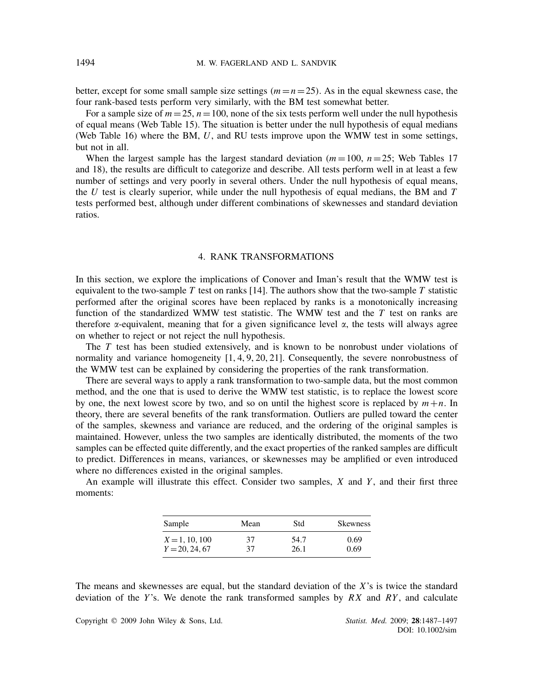better, except for some small sample size settings  $(m = n = 25)$ . As in the equal skewness case, the four rank-based tests perform very similarly, with the BM test somewhat better.

For a sample size of  $m = 25$ ,  $n = 100$ , none of the six tests perform well under the null hypothesis of equal means (Web Table 15). The situation is better under the null hypothesis of equal medians (Web Table 16) where the BM, *U*, and RU tests improve upon the WMW test in some settings, but not in all.

When the largest sample has the largest standard deviation  $(m = 100, n = 25)$ ; Web Tables 17 and 18), the results are difficult to categorize and describe. All tests perform well in at least a few number of settings and very poorly in several others. Under the null hypothesis of equal means, the *U* test is clearly superior, while under the null hypothesis of equal medians, the BM and *T* tests performed best, although under different combinations of skewnesses and standard deviation ratios.

#### 4. RANK TRANSFORMATIONS

In this section, we explore the implications of Conover and Iman's result that the WMW test is equivalent to the two-sample  $T$  test on ranks [14]. The authors show that the two-sample  $T$  statistic performed after the original scores have been replaced by ranks is a monotonically increasing function of the standardized WMW test statistic. The WMW test and the *T* test on ranks are therefore  $\alpha$ -equivalent, meaning that for a given significance level  $\alpha$ , the tests will always agree on whether to reject or not reject the null hypothesis.

The *T* test has been studied extensively, and is known to be nonrobust under violations of normality and variance homogeneity [1, 4, 9, 20, 21]. Consequently, the severe nonrobustness of the WMW test can be explained by considering the properties of the rank transformation.

There are several ways to apply a rank transformation to two-sample data, but the most common method, and the one that is used to derive the WMW test statistic, is to replace the lowest score by one, the next lowest score by two, and so on until the highest score is replaced by  $m+n$ . In theory, there are several benefits of the rank transformation. Outliers are pulled toward the center of the samples, skewness and variance are reduced, and the ordering of the original samples is maintained. However, unless the two samples are identically distributed, the moments of the two samples can be effected quite differently, and the exact properties of the ranked samples are difficult to predict. Differences in means, variances, or skewnesses may be amplified or even introduced where no differences existed in the original samples.

An example will illustrate this effect. Consider two samples, *X* and *Y* , and their first three moments:

| Sample           | Mean | Std  | <b>Skewness</b> |
|------------------|------|------|-----------------|
| $X = 1, 10, 100$ | 37   | 54.7 | 0.69            |
| $Y = 20, 24, 67$ | 37   | 26.1 | 0.69            |

The means and skewnesses are equal, but the standard deviation of the *X*'s is twice the standard deviation of the *Y* 's. We denote the rank transformed samples by *R X* and *RY* , and calculate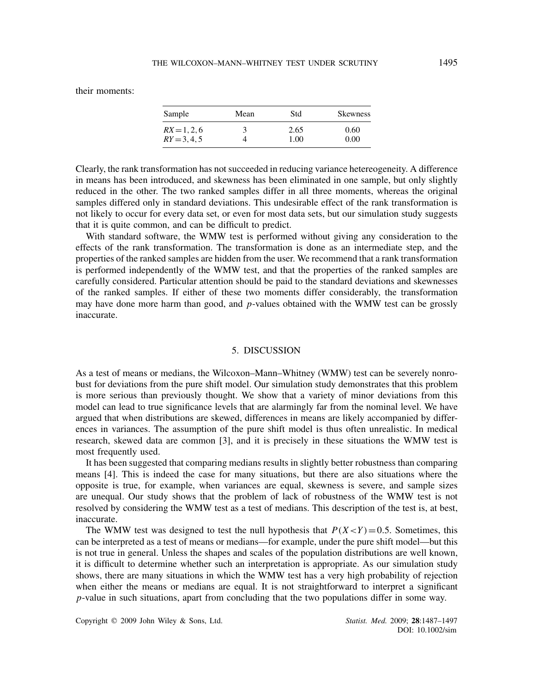their moments:

| Sample         | Mean | Std  | <b>Skewness</b> |  |  |
|----------------|------|------|-----------------|--|--|
| $RX = 1, 2, 6$ |      | 2.65 | 0.60            |  |  |
| $RY = 3, 4, 5$ |      | 1.00 | 0.00            |  |  |

Clearly, the rank transformation has not succeeded in reducing variance hetereogeneity. A difference in means has been introduced, and skewness has been eliminated in one sample, but only slightly reduced in the other. The two ranked samples differ in all three moments, whereas the original samples differed only in standard deviations. This undesirable effect of the rank transformation is not likely to occur for every data set, or even for most data sets, but our simulation study suggests that it is quite common, and can be difficult to predict.

With standard software, the WMW test is performed without giving any consideration to the effects of the rank transformation. The transformation is done as an intermediate step, and the properties of the ranked samples are hidden from the user. We recommend that a rank transformation is performed independently of the WMW test, and that the properties of the ranked samples are carefully considered. Particular attention should be paid to the standard deviations and skewnesses of the ranked samples. If either of these two moments differ considerably, the transformation may have done more harm than good, and *p*-values obtained with the WMW test can be grossly inaccurate.

#### 5. DISCUSSION

As a test of means or medians, the Wilcoxon–Mann–Whitney (WMW) test can be severely nonrobust for deviations from the pure shift model. Our simulation study demonstrates that this problem is more serious than previously thought. We show that a variety of minor deviations from this model can lead to true significance levels that are alarmingly far from the nominal level. We have argued that when distributions are skewed, differences in means are likely accompanied by differences in variances. The assumption of the pure shift model is thus often unrealistic. In medical research, skewed data are common [3], and it is precisely in these situations the WMW test is most frequently used.

It has been suggested that comparing medians results in slightly better robustness than comparing means [4]. This is indeed the case for many situations, but there are also situations where the opposite is true, for example, when variances are equal, skewness is severe, and sample sizes are unequal. Our study shows that the problem of lack of robustness of the WMW test is not resolved by considering the WMW test as a test of medians. This description of the test is, at best, inaccurate.

The WMW test was designed to test the null hypothesis that  $P(X \le Y) = 0.5$ . Sometimes, this can be interpreted as a test of means or medians—for example, under the pure shift model—but this is not true in general. Unless the shapes and scales of the population distributions are well known, it is difficult to determine whether such an interpretation is appropriate. As our simulation study shows, there are many situations in which the WMW test has a very high probability of rejection when either the means or medians are equal. It is not straightforward to interpret a significant *p*-value in such situations, apart from concluding that the two populations differ in some way.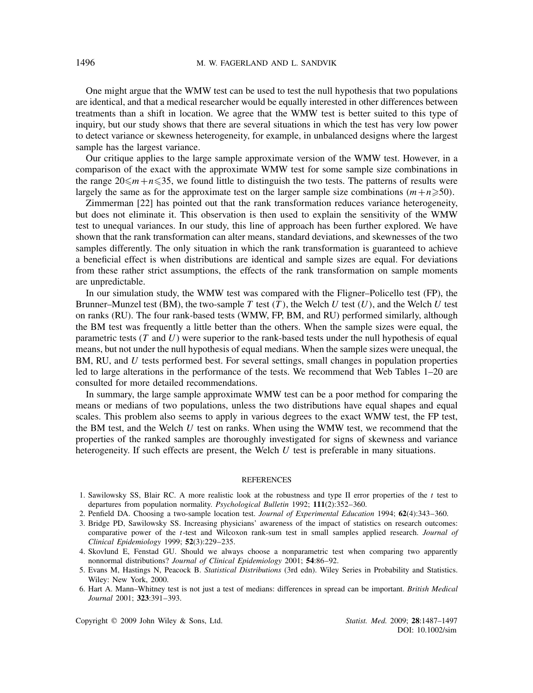One might argue that the WMW test can be used to test the null hypothesis that two populations are identical, and that a medical researcher would be equally interested in other differences between treatments than a shift in location. We agree that the WMW test is better suited to this type of inquiry, but our study shows that there are several situations in which the test has very low power to detect variance or skewness heterogeneity, for example, in unbalanced designs where the largest sample has the largest variance.

Our critique applies to the large sample approximate version of the WMW test. However, in a comparison of the exact with the approximate WMW test for some sample size combinations in the range  $20 \le m + n \le 35$ , we found little to distinguish the two tests. The patterns of results were largely the same as for the approximate test on the larger sample size combinations  $(m+n \geq 50)$ .

Zimmerman [22] has pointed out that the rank transformation reduces variance heterogeneity, but does not eliminate it. This observation is then used to explain the sensitivity of the WMW test to unequal variances. In our study, this line of approach has been further explored. We have shown that the rank transformation can alter means, standard deviations, and skewnesses of the two samples differently. The only situation in which the rank transformation is guaranteed to achieve a beneficial effect is when distributions are identical and sample sizes are equal. For deviations from these rather strict assumptions, the effects of the rank transformation on sample moments are unpredictable.

In our simulation study, the WMW test was compared with the Fligner–Policello test (FP), the Brunner–Munzel test (BM), the two-sample *T* test  $(T)$ , the Welch *U* test  $(U)$ , and the Welch *U* test on ranks (RU). The four rank-based tests (WMW, FP, BM, and RU) performed similarly, although the BM test was frequently a little better than the others. When the sample sizes were equal, the parametric tests (*T* and *U*) were superior to the rank-based tests under the null hypothesis of equal means, but not under the null hypothesis of equal medians. When the sample sizes were unequal, the BM, RU, and *U* tests performed best. For several settings, small changes in population properties led to large alterations in the performance of the tests. We recommend that Web Tables 1–20 are consulted for more detailed recommendations.

In summary, the large sample approximate WMW test can be a poor method for comparing the means or medians of two populations, unless the two distributions have equal shapes and equal scales. This problem also seems to apply in various degrees to the exact WMW test, the FP test, the BM test, and the Welch *U* test on ranks. When using the WMW test, we recommend that the properties of the ranked samples are thoroughly investigated for signs of skewness and variance heterogeneity. If such effects are present, the Welch *U* test is preferable in many situations.

#### REFERENCES

- 1. Sawilowsky SS, Blair RC. A more realistic look at the robustness and type II error properties of the *t* test to departures from population normality. *Psychological Bulletin* 1992; **111**(2):352–360.
- 2. Penfield DA. Choosing a two-sample location test. *Journal of Experimental Education* 1994; **62**(4):343–360.
- 3. Bridge PD, Sawilowsky SS. Increasing physicians' awareness of the impact of statistics on research outcomes: comparative power of the *t*-test and Wilcoxon rank-sum test in small samples applied research. *Journal of Clinical Epidemiology* 1999; **52**(3):229–235.
- 4. Skovlund E, Fenstad GU. Should we always choose a nonparametric test when comparing two apparently nonnormal distributions? *Journal of Clinical Epidemiology* 2001; **54**:86–92.
- 5. Evans M, Hastings N, Peacock B. *Statistical Distributions* (3rd edn). Wiley Series in Probability and Statistics. Wiley: New York, 2000.
- 6. Hart A. Mann–Whitney test is not just a test of medians: differences in spread can be important. *British Medical Journal* 2001; **323**:391–393.

Copyright q 2009 John Wiley & Sons, Ltd. *Statist. Med.* 2009; **28**:1487–1497

DOI: 10.1002/sim